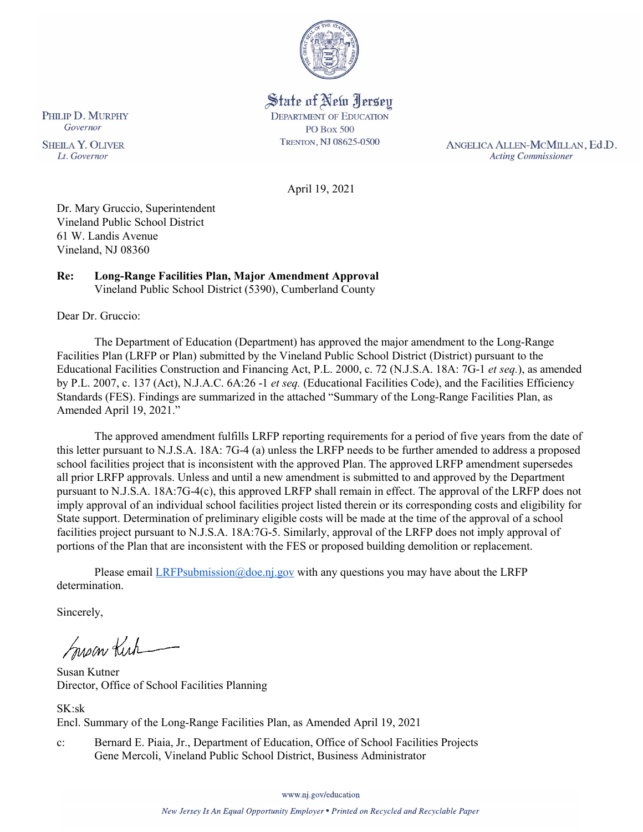

State of New Jersey **DEPARTMENT OF EDUCATION PO Box 500** TRENTON, NJ 08625-0500

ANGELICA ALLEN-MCMILLAN, Ed.D. **Acting Commissioner** 

April 19, 2021

Dr. Mary Gruccio, Superintendent Vineland Public School District 61 W. Landis Avenue Vineland, NJ 08360

#### **Re: Long-Range Facilities Plan, Major Amendment Approval** Vineland Public School District (5390), Cumberland County

Dear Dr. Gruccio:

The Department of Education (Department) has approved the major amendment to the Long-Range Facilities Plan (LRFP or Plan) submitted by the Vineland Public School District (District) pursuant to the Educational Facilities Construction and Financing Act, P.L. 2000, c. 72 (N.J.S.A. 18A: 7G-1 *et seq.*), as amended by P.L. 2007, c. 137 (Act), N.J.A.C. 6A:26 -1 *et seq.* (Educational Facilities Code), and the Facilities Efficiency Standards (FES). Findings are summarized in the attached "Summary of the Long-Range Facilities Plan, as Amended April 19, 2021."

The approved amendment fulfills LRFP reporting requirements for a period of five years from the date of this letter pursuant to N.J.S.A. 18A: 7G-4 (a) unless the LRFP needs to be further amended to address a proposed school facilities project that is inconsistent with the approved Plan. The approved LRFP amendment supersedes all prior LRFP approvals. Unless and until a new amendment is submitted to and approved by the Department pursuant to N.J.S.A. 18A:7G-4(c), this approved LRFP shall remain in effect. The approval of the LRFP does not imply approval of an individual school facilities project listed therein or its corresponding costs and eligibility for State support. Determination of preliminary eligible costs will be made at the time of the approval of a school facilities project pursuant to N.J.S.A. 18A:7G-5. Similarly, approval of the LRFP does not imply approval of portions of the Plan that are inconsistent with the FES or proposed building demolition or replacement.

Please email  $LRFP submission@doe.nj.gov$  with any questions you may have about the LRFP determination.

Sincerely,

Susan Kich

Susan Kutner Director, Office of School Facilities Planning

SK:sk Encl. Summary of the Long-Range Facilities Plan, as Amended April 19, 2021

c: Bernard E. Piaia, Jr., Department of Education, Office of School Facilities Projects Gene Mercoli, Vineland Public School District, Business Administrator

PHILIP D. MURPHY Governor

**SHEILA Y. OLIVER** Lt. Governor

www.nj.gov/education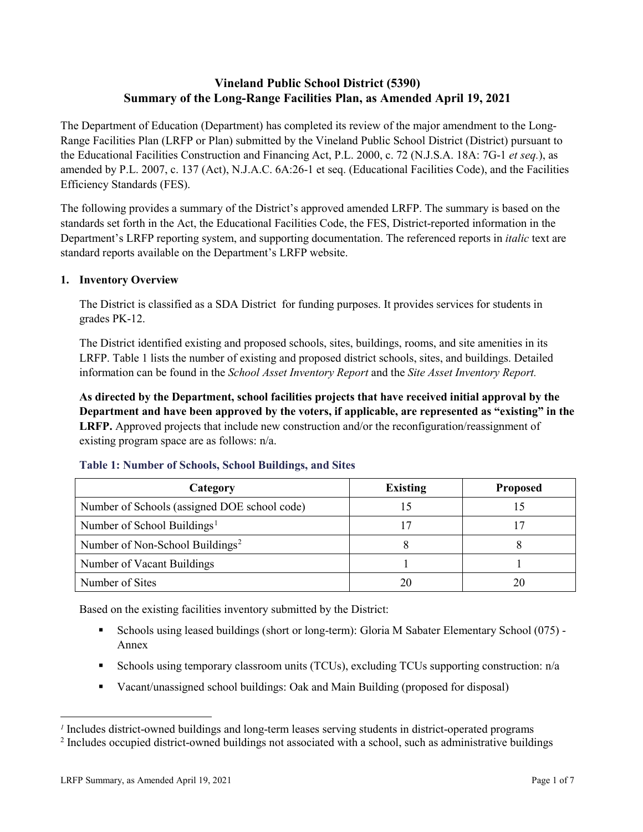# **Vineland Public School District (5390) Summary of the Long-Range Facilities Plan, as Amended April 19, 2021**

The Department of Education (Department) has completed its review of the major amendment to the Long-Range Facilities Plan (LRFP or Plan) submitted by the Vineland Public School District (District) pursuant to the Educational Facilities Construction and Financing Act, P.L. 2000, c. 72 (N.J.S.A. 18A: 7G-1 *et seq.*), as amended by P.L. 2007, c. 137 (Act), N.J.A.C. 6A:26-1 et seq. (Educational Facilities Code), and the Facilities Efficiency Standards (FES).

The following provides a summary of the District's approved amended LRFP. The summary is based on the standards set forth in the Act, the Educational Facilities Code, the FES, District-reported information in the Department's LRFP reporting system, and supporting documentation. The referenced reports in *italic* text are standard reports available on the Department's LRFP website.

#### **1. Inventory Overview**

The District is classified as a SDA District for funding purposes. It provides services for students in grades PK-12.

The District identified existing and proposed schools, sites, buildings, rooms, and site amenities in its LRFP. Table 1 lists the number of existing and proposed district schools, sites, and buildings. Detailed information can be found in the *School Asset Inventory Report* and the *Site Asset Inventory Report.*

**As directed by the Department, school facilities projects that have received initial approval by the Department and have been approved by the voters, if applicable, are represented as "existing" in the LRFP.** Approved projects that include new construction and/or the reconfiguration/reassignment of existing program space are as follows: n/a.

| Category                                     | <b>Existing</b> | <b>Proposed</b> |
|----------------------------------------------|-----------------|-----------------|
| Number of Schools (assigned DOE school code) |                 |                 |
| Number of School Buildings <sup>1</sup>      |                 |                 |
| Number of Non-School Buildings <sup>2</sup>  |                 |                 |
| Number of Vacant Buildings                   |                 |                 |
| Number of Sites                              |                 |                 |

#### **Table 1: Number of Schools, School Buildings, and Sites**

Based on the existing facilities inventory submitted by the District:

- Schools using leased buildings (short or long-term): Gloria M Sabater Elementary School (075) Annex
- Schools using temporary classroom units (TCUs), excluding TCUs supporting construction:  $n/a$
- Vacant/unassigned school buildings: Oak and Main Building (proposed for disposal)

 $\overline{a}$ 

<span id="page-1-0"></span>*<sup>1</sup>* Includes district-owned buildings and long-term leases serving students in district-operated programs

<span id="page-1-1"></span><sup>&</sup>lt;sup>2</sup> Includes occupied district-owned buildings not associated with a school, such as administrative buildings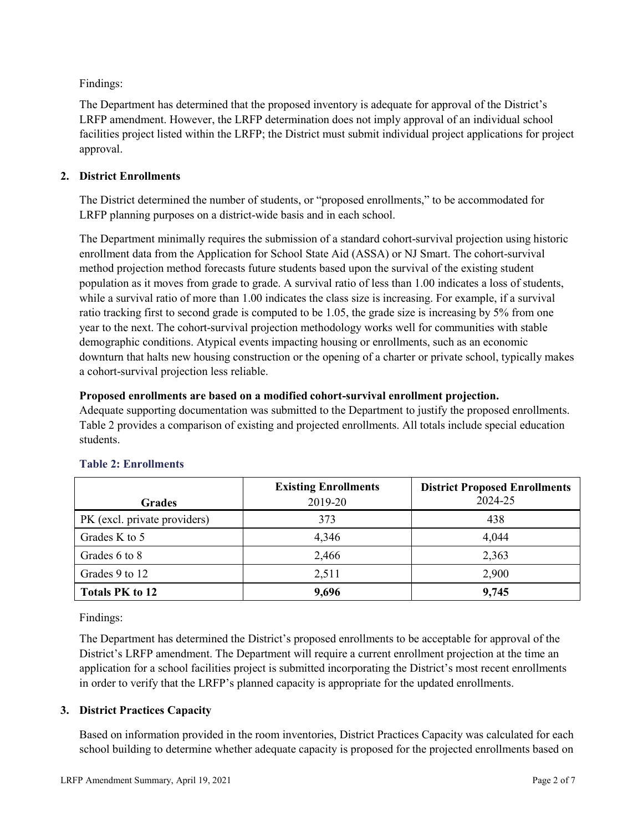Findings:

The Department has determined that the proposed inventory is adequate for approval of the District's LRFP amendment. However, the LRFP determination does not imply approval of an individual school facilities project listed within the LRFP; the District must submit individual project applications for project approval.

# **2. District Enrollments**

The District determined the number of students, or "proposed enrollments," to be accommodated for LRFP planning purposes on a district-wide basis and in each school.

The Department minimally requires the submission of a standard cohort-survival projection using historic enrollment data from the Application for School State Aid (ASSA) or NJ Smart. The cohort-survival method projection method forecasts future students based upon the survival of the existing student population as it moves from grade to grade. A survival ratio of less than 1.00 indicates a loss of students, while a survival ratio of more than 1.00 indicates the class size is increasing. For example, if a survival ratio tracking first to second grade is computed to be 1.05, the grade size is increasing by 5% from one year to the next. The cohort-survival projection methodology works well for communities with stable demographic conditions. Atypical events impacting housing or enrollments, such as an economic downturn that halts new housing construction or the opening of a charter or private school, typically makes a cohort-survival projection less reliable.

#### **Proposed enrollments are based on a modified cohort-survival enrollment projection.**

Adequate supporting documentation was submitted to the Department to justify the proposed enrollments. Table 2 provides a comparison of existing and projected enrollments. All totals include special education students.

|                              | <b>Existing Enrollments</b> | <b>District Proposed Enrollments</b> |
|------------------------------|-----------------------------|--------------------------------------|
| <b>Grades</b>                | 2019-20                     | 2024-25                              |
| PK (excl. private providers) | 373                         | 438                                  |
| Grades K to 5                | 4,346                       | 4,044                                |
| Grades 6 to 8                | 2,466                       | 2,363                                |
| Grades 9 to 12               | 2,511                       | 2,900                                |
| <b>Totals PK to 12</b>       | 9,696                       | 9,745                                |

# **Table 2: Enrollments**

Findings:

The Department has determined the District's proposed enrollments to be acceptable for approval of the District's LRFP amendment. The Department will require a current enrollment projection at the time an application for a school facilities project is submitted incorporating the District's most recent enrollments in order to verify that the LRFP's planned capacity is appropriate for the updated enrollments.

# **3. District Practices Capacity**

Based on information provided in the room inventories, District Practices Capacity was calculated for each school building to determine whether adequate capacity is proposed for the projected enrollments based on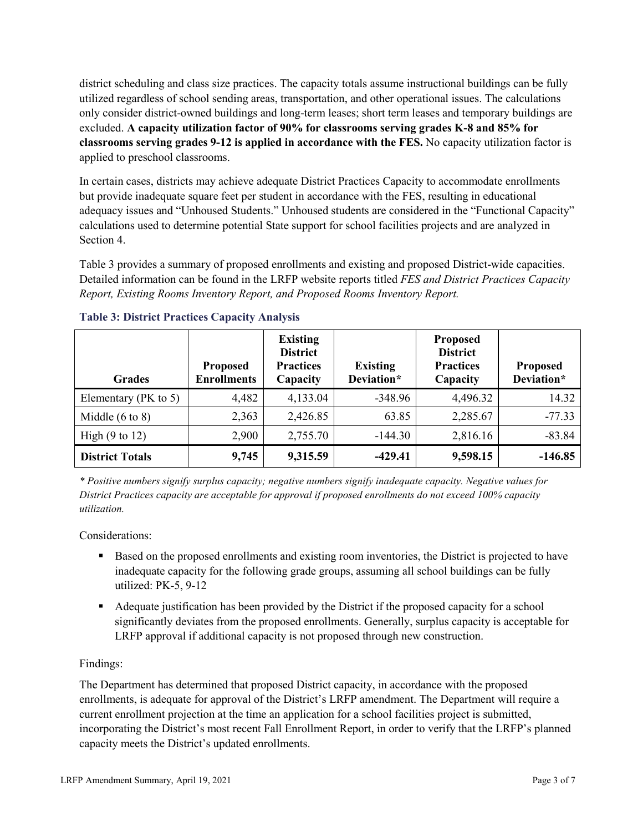district scheduling and class size practices. The capacity totals assume instructional buildings can be fully utilized regardless of school sending areas, transportation, and other operational issues. The calculations only consider district-owned buildings and long-term leases; short term leases and temporary buildings are excluded. **A capacity utilization factor of 90% for classrooms serving grades K-8 and 85% for classrooms serving grades 9-12 is applied in accordance with the FES.** No capacity utilization factor is applied to preschool classrooms.

In certain cases, districts may achieve adequate District Practices Capacity to accommodate enrollments but provide inadequate square feet per student in accordance with the FES, resulting in educational adequacy issues and "Unhoused Students." Unhoused students are considered in the "Functional Capacity" calculations used to determine potential State support for school facilities projects and are analyzed in Section 4.

Table 3 provides a summary of proposed enrollments and existing and proposed District-wide capacities. Detailed information can be found in the LRFP website reports titled *FES and District Practices Capacity Report, Existing Rooms Inventory Report, and Proposed Rooms Inventory Report.*

| <b>Grades</b>              | <b>Proposed</b><br><b>Enrollments</b> | <b>Existing</b><br><b>District</b><br><b>Practices</b><br>Capacity | <b>Existing</b><br>Deviation* | <b>Proposed</b><br><b>District</b><br><b>Practices</b><br>Capacity | <b>Proposed</b><br>Deviation* |
|----------------------------|---------------------------------------|--------------------------------------------------------------------|-------------------------------|--------------------------------------------------------------------|-------------------------------|
| Elementary ( $PK$ to 5)    | 4,482                                 | 4,133.04                                                           | $-348.96$                     | 4,496.32                                                           | 14.32                         |
| Middle $(6 \text{ to } 8)$ | 2,363                                 | 2,426.85                                                           | 63.85                         | 2,285.67                                                           | $-77.33$                      |
| High $(9 \text{ to } 12)$  | 2,900                                 | 2,755.70                                                           | $-144.30$                     | 2,816.16                                                           | $-83.84$                      |
| <b>District Totals</b>     | 9,745                                 | 9,315.59                                                           | $-429.41$                     | 9,598.15                                                           | $-146.85$                     |

# **Table 3: District Practices Capacity Analysis**

*\* Positive numbers signify surplus capacity; negative numbers signify inadequate capacity. Negative values for District Practices capacity are acceptable for approval if proposed enrollments do not exceed 100% capacity utilization.*

Considerations:

- Based on the proposed enrollments and existing room inventories, the District is projected to have inadequate capacity for the following grade groups, assuming all school buildings can be fully utilized: PK-5, 9-12
- Adequate justification has been provided by the District if the proposed capacity for a school significantly deviates from the proposed enrollments. Generally, surplus capacity is acceptable for LRFP approval if additional capacity is not proposed through new construction.

# Findings:

The Department has determined that proposed District capacity, in accordance with the proposed enrollments, is adequate for approval of the District's LRFP amendment. The Department will require a current enrollment projection at the time an application for a school facilities project is submitted, incorporating the District's most recent Fall Enrollment Report, in order to verify that the LRFP's planned capacity meets the District's updated enrollments.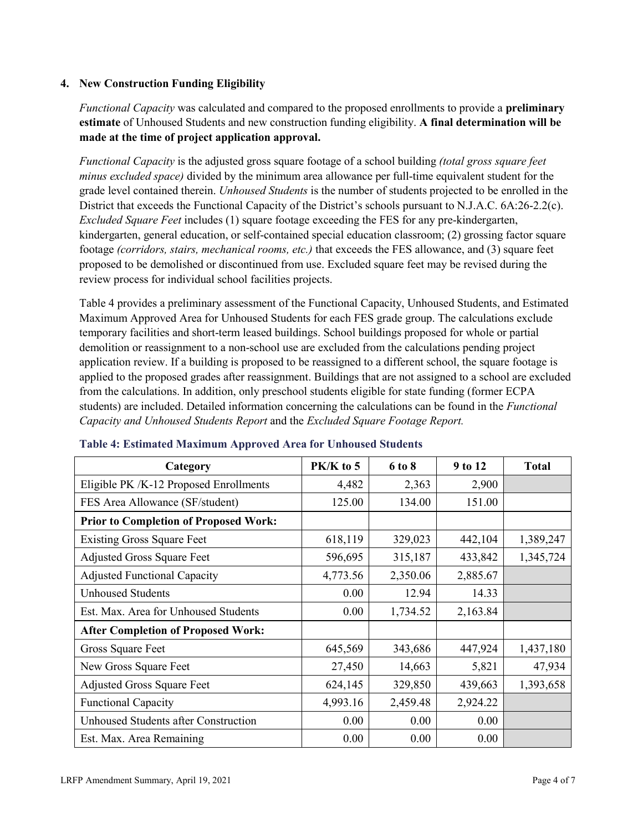# **4. New Construction Funding Eligibility**

*Functional Capacity* was calculated and compared to the proposed enrollments to provide a **preliminary estimate** of Unhoused Students and new construction funding eligibility. **A final determination will be made at the time of project application approval.**

*Functional Capacity* is the adjusted gross square footage of a school building *(total gross square feet minus excluded space)* divided by the minimum area allowance per full-time equivalent student for the grade level contained therein. *Unhoused Students* is the number of students projected to be enrolled in the District that exceeds the Functional Capacity of the District's schools pursuant to N.J.A.C. 6A:26-2.2(c). *Excluded Square Feet* includes (1) square footage exceeding the FES for any pre-kindergarten, kindergarten, general education, or self-contained special education classroom; (2) grossing factor square footage *(corridors, stairs, mechanical rooms, etc.)* that exceeds the FES allowance, and (3) square feet proposed to be demolished or discontinued from use. Excluded square feet may be revised during the review process for individual school facilities projects.

Table 4 provides a preliminary assessment of the Functional Capacity, Unhoused Students, and Estimated Maximum Approved Area for Unhoused Students for each FES grade group. The calculations exclude temporary facilities and short-term leased buildings. School buildings proposed for whole or partial demolition or reassignment to a non-school use are excluded from the calculations pending project application review. If a building is proposed to be reassigned to a different school, the square footage is applied to the proposed grades after reassignment. Buildings that are not assigned to a school are excluded from the calculations. In addition, only preschool students eligible for state funding (former ECPA students) are included. Detailed information concerning the calculations can be found in the *Functional Capacity and Unhoused Students Report* and the *Excluded Square Footage Report.*

| Category                                     | $PK/K$ to 5 | 6 to 8   | 9 to 12  | <b>Total</b> |
|----------------------------------------------|-------------|----------|----------|--------------|
| Eligible PK /K-12 Proposed Enrollments       | 4,482       | 2,363    | 2,900    |              |
| FES Area Allowance (SF/student)              | 125.00      | 134.00   | 151.00   |              |
| <b>Prior to Completion of Proposed Work:</b> |             |          |          |              |
| <b>Existing Gross Square Feet</b>            | 618,119     | 329,023  | 442,104  | 1,389,247    |
| <b>Adjusted Gross Square Feet</b>            | 596,695     | 315,187  | 433,842  | 1,345,724    |
| <b>Adjusted Functional Capacity</b>          | 4,773.56    | 2,350.06 | 2,885.67 |              |
| <b>Unhoused Students</b>                     | 0.00        | 12.94    | 14.33    |              |
| Est. Max. Area for Unhoused Students         | 0.00        | 1,734.52 | 2,163.84 |              |
| <b>After Completion of Proposed Work:</b>    |             |          |          |              |
| Gross Square Feet                            | 645,569     | 343,686  | 447,924  | 1,437,180    |
| New Gross Square Feet                        | 27,450      | 14,663   | 5,821    | 47,934       |
| <b>Adjusted Gross Square Feet</b>            | 624,145     | 329,850  | 439,663  | 1,393,658    |
| <b>Functional Capacity</b>                   | 4,993.16    | 2,459.48 | 2,924.22 |              |
| <b>Unhoused Students after Construction</b>  | 0.00        | 0.00     | 0.00     |              |
| Est. Max. Area Remaining                     | 0.00        | 0.00     | 0.00     |              |

#### **Table 4: Estimated Maximum Approved Area for Unhoused Students**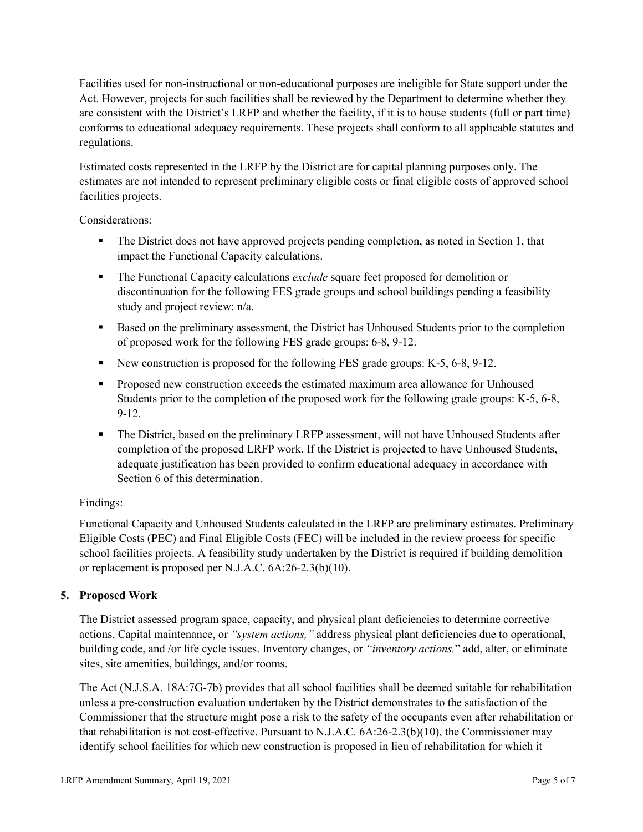Facilities used for non-instructional or non-educational purposes are ineligible for State support under the Act. However, projects for such facilities shall be reviewed by the Department to determine whether they are consistent with the District's LRFP and whether the facility, if it is to house students (full or part time) conforms to educational adequacy requirements. These projects shall conform to all applicable statutes and regulations.

Estimated costs represented in the LRFP by the District are for capital planning purposes only. The estimates are not intended to represent preliminary eligible costs or final eligible costs of approved school facilities projects.

Considerations:

- The District does not have approved projects pending completion, as noted in Section 1, that impact the Functional Capacity calculations.
- **The Functional Capacity calculations** *exclude* square feet proposed for demolition or discontinuation for the following FES grade groups and school buildings pending a feasibility study and project review: n/a.
- Based on the preliminary assessment, the District has Unhoused Students prior to the completion of proposed work for the following FES grade groups: 6-8, 9-12.
- New construction is proposed for the following FES grade groups: K-5, 6-8, 9-12.
- Proposed new construction exceeds the estimated maximum area allowance for Unhoused Students prior to the completion of the proposed work for the following grade groups: K-5, 6-8, 9-12.
- The District, based on the preliminary LRFP assessment, will not have Unhoused Students after completion of the proposed LRFP work. If the District is projected to have Unhoused Students, adequate justification has been provided to confirm educational adequacy in accordance with Section 6 of this determination.

# Findings:

Functional Capacity and Unhoused Students calculated in the LRFP are preliminary estimates. Preliminary Eligible Costs (PEC) and Final Eligible Costs (FEC) will be included in the review process for specific school facilities projects. A feasibility study undertaken by the District is required if building demolition or replacement is proposed per N.J.A.C. 6A:26-2.3(b)(10).

# **5. Proposed Work**

The District assessed program space, capacity, and physical plant deficiencies to determine corrective actions. Capital maintenance, or *"system actions,"* address physical plant deficiencies due to operational, building code, and /or life cycle issues. Inventory changes, or *"inventory actions,*" add, alter, or eliminate sites, site amenities, buildings, and/or rooms.

The Act (N.J.S.A. 18A:7G-7b) provides that all school facilities shall be deemed suitable for rehabilitation unless a pre-construction evaluation undertaken by the District demonstrates to the satisfaction of the Commissioner that the structure might pose a risk to the safety of the occupants even after rehabilitation or that rehabilitation is not cost-effective. Pursuant to N.J.A.C. 6A:26-2.3(b)(10), the Commissioner may identify school facilities for which new construction is proposed in lieu of rehabilitation for which it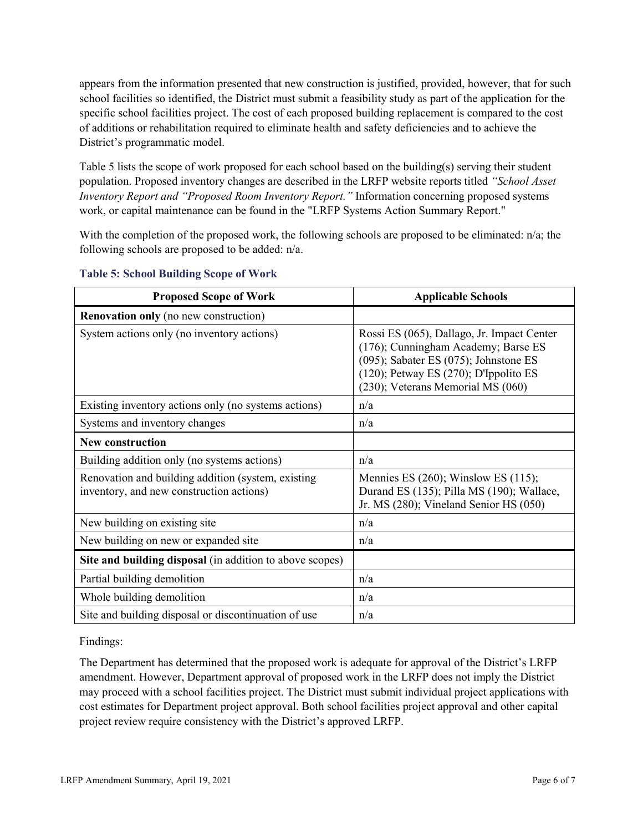appears from the information presented that new construction is justified, provided, however, that for such school facilities so identified, the District must submit a feasibility study as part of the application for the specific school facilities project. The cost of each proposed building replacement is compared to the cost of additions or rehabilitation required to eliminate health and safety deficiencies and to achieve the District's programmatic model.

Table 5 lists the scope of work proposed for each school based on the building(s) serving their student population. Proposed inventory changes are described in the LRFP website reports titled *"School Asset Inventory Report and "Proposed Room Inventory Report."* Information concerning proposed systems work, or capital maintenance can be found in the "LRFP Systems Action Summary Report."

With the completion of the proposed work, the following schools are proposed to be eliminated: n/a; the following schools are proposed to be added: n/a.

| <b>Proposed Scope of Work</b>                                                                  | <b>Applicable Schools</b>                                                                                                                                                                                      |
|------------------------------------------------------------------------------------------------|----------------------------------------------------------------------------------------------------------------------------------------------------------------------------------------------------------------|
| <b>Renovation only</b> (no new construction)                                                   |                                                                                                                                                                                                                |
| System actions only (no inventory actions)                                                     | Rossi ES (065), Dallago, Jr. Impact Center<br>(176); Cunningham Academy; Barse ES<br>(095); Sabater ES (075); Johnstone ES<br>$(120)$ ; Petway ES $(270)$ ; D'Ippolito ES<br>(230); Veterans Memorial MS (060) |
| Existing inventory actions only (no systems actions)                                           | n/a                                                                                                                                                                                                            |
| Systems and inventory changes                                                                  | n/a                                                                                                                                                                                                            |
| <b>New construction</b>                                                                        |                                                                                                                                                                                                                |
| Building addition only (no systems actions)                                                    | n/a                                                                                                                                                                                                            |
| Renovation and building addition (system, existing<br>inventory, and new construction actions) | Mennies ES $(260)$ ; Winslow ES $(115)$ ;<br>Durand ES (135); Pilla MS (190); Wallace,<br>Jr. MS (280); Vineland Senior HS (050)                                                                               |
| New building on existing site                                                                  | n/a                                                                                                                                                                                                            |
| New building on new or expanded site                                                           | n/a                                                                                                                                                                                                            |
| Site and building disposal (in addition to above scopes)                                       |                                                                                                                                                                                                                |
| Partial building demolition                                                                    | n/a                                                                                                                                                                                                            |
| Whole building demolition                                                                      | n/a                                                                                                                                                                                                            |
| Site and building disposal or discontinuation of use                                           | n/a                                                                                                                                                                                                            |

#### **Table 5: School Building Scope of Work**

Findings:

The Department has determined that the proposed work is adequate for approval of the District's LRFP amendment. However, Department approval of proposed work in the LRFP does not imply the District may proceed with a school facilities project. The District must submit individual project applications with cost estimates for Department project approval. Both school facilities project approval and other capital project review require consistency with the District's approved LRFP.